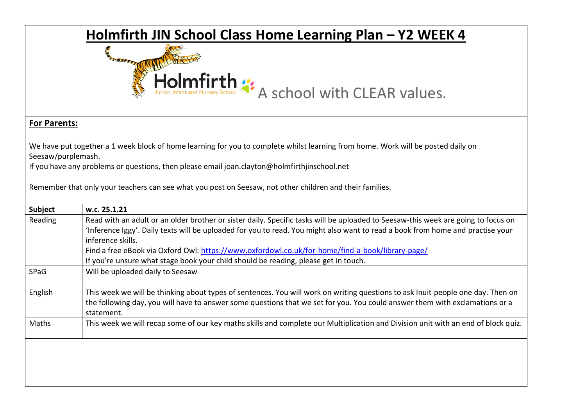## **Holmfirth JIN School Class Home Learning Plan – Y2 WEEK 4**<br> **4**

Holmfirth  $\mathcal{L}$ <br>A school with CLEAR values.

## **For Parents:**

We have put together a 1 week block of home learning for you to complete whilst learning from home. Work will be posted daily on Seesaw/purplemash.

If you have any problems or questions, then please email joan.clayton@holmfirthjinschool.net

Remember that only your teachers can see what you post on Seesaw, not other children and their families.

| Subject     | w.c. 25.1.21                                                                                                                      |
|-------------|-----------------------------------------------------------------------------------------------------------------------------------|
| Reading     | Read with an adult or an older brother or sister daily. Specific tasks will be uploaded to Seesaw-this week are going to focus on |
|             | 'Inference Iggy'. Daily texts will be uploaded for you to read. You might also want to read a book from home and practise your    |
|             | inference skills.                                                                                                                 |
|             | Find a free eBook via Oxford Owl: https://www.oxfordowl.co.uk/for-home/find-a-book/library-page/                                  |
|             | If you're unsure what stage book your child should be reading, please get in touch.                                               |
| <b>SPaG</b> | Will be uploaded daily to Seesaw                                                                                                  |
|             |                                                                                                                                   |
| English     | This week we will be thinking about types of sentences. You will work on writing questions to ask Inuit people one day. Then on   |
|             | the following day, you will have to answer some questions that we set for you. You could answer them with exclamations or a       |
|             | statement.                                                                                                                        |
| Maths       | This week we will recap some of our key maths skills and complete our Multiplication and Division unit with an end of block quiz. |
|             |                                                                                                                                   |
|             |                                                                                                                                   |
|             |                                                                                                                                   |
|             |                                                                                                                                   |
|             |                                                                                                                                   |